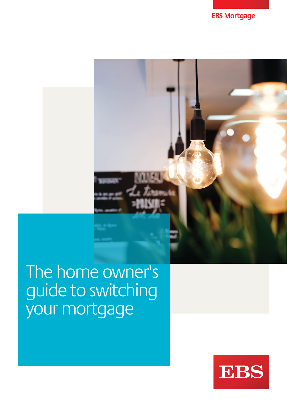**EBS Mortgage**



## The home owner's guide to switching your mortgage

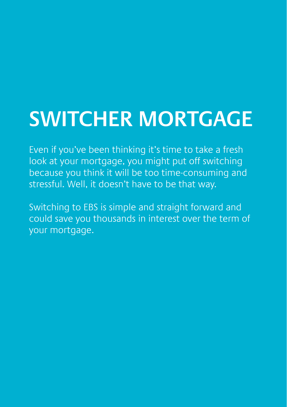# **SWITCHER MORTGAGE**

Even if you've been thinking it's time to take a fresh look at your mortgage, you might put off switching because you think it will be too time-consuming and stressful. Well, it doesn't have to be that way.

Switching to EBS is simple and straight forward and could save you thousands in interest over the term of your mortgage.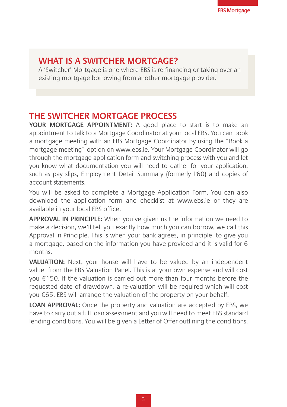### **WHAT IS A SWITCHER MORTGAGE?**

A 'Switcher' Mortgage is one where EBS is re-financing or taking over an existing mortgage borrowing from another mortgage provider.

## **THE SWITCHER MORTGAGE PROCESS**

**YOUR MORTGAGE APPOINTMENT:** A good place to start is to make an appointment to talk to a Mortgage Coordinator at your local EBS. You can book a mortgage meeting with an EBS Mortgage Coordinator by using the "Book a mortgage meeting" option on www.ebs.ie. Your Mortgage Coordinator will go through the mortgage application form and switching process with you and let you know what documentation you will need to gather for your application, such as pay slips, Employment Detail Summary (formerly P60) and copies of account statements.

You will be asked to complete a Mortgage Application Form. You can also download the application form and checklist at www.ebs.ie or they are available in your local EBS office.

**APPROVAL IN PRINCIPLE:** When you've given us the information we need to make a decision, we'll tell you exactly how much you can borrow, we call this Approval in Principle. This is when your bank agrees, in principle, to give you a mortgage, based on the information you have provided and it is valid for 6 months.

**VALUATION:** Next, your house will have to be valued by an independent valuer from the EBS Valuation Panel. This is at your own expense and will cost you €150. If the valuation is carried out more than four months before the requested date of drawdown, a re-valuation will be required which will cost you €65. EBS will arrange the valuation of the property on your behalf.

**LOAN APPROVAL:** Once the property and valuation are accepted by EBS, we have to carry out a full loan assessment and you will need to meet EBS standard lending conditions. You will be given a Letter of Offer outlining the conditions.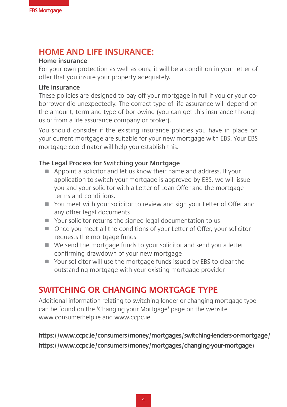## **HOME AND LIFE INSURANCE:**

#### **Home insurance**

For your own protection as well as ours, it will be a condition in your letter of offer that you insure your property adequately.

#### **Life insurance**

These policies are designed to pay off your mortgage in full if you or your coborrower die unexpectedly. The correct type of life assurance will depend on the amount, term and type of borrowing (you can get this insurance through us or from a life assurance company or broker).

You should consider if the existing insurance policies you have in place on your current mortgage are suitable for your new mortgage with EBS. Your EBS mortgage coordinator will help you establish this.

#### **The Legal Process for Switching your Mortgage**

- Appoint a solicitor and let us know their name and address. If your application to switch your mortgage is approved by EBS, we will issue you and your solicitor with a Letter of Loan Offer and the mortgage terms and conditions.
- You meet with your solicitor to review and sign your Letter of Offer and any other legal documents
- ~ Your solicitor returns the signed legal documentation to us
- Once you meet all the conditions of your Letter of Offer, your solicitor requests the mortgage funds
- ~ We send the mortgage funds to your solicitor and send you a letter confirming drawdown of your new mortgage
- Your solicitor will use the mortgage funds issued by EBS to clear the outstanding mortgage with your existing mortgage provider

## **SWITCHING OR CHANGING MORTGAGE TYPE**

Additional information relating to switching lender or changing mortgage type can be found on the 'Changing your Mortgage' page on the website www.consumerhelp.ie and www.ccpc.ie

**https://www.ccpc.ie/consumers/money/mortgages/switching-lenders-or-mortgage/ https://www.ccpc.ie/consumers/money/mortgages/changing-your-mortgage/**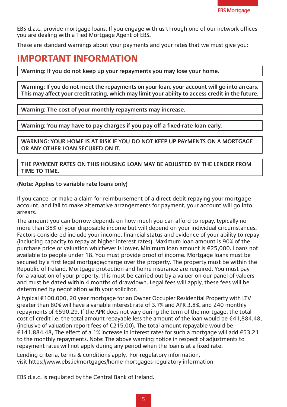EBS d.a.c. provide mortgage loans. If you engage with us through one of our network offices you are dealing with a Tied Mortgage Agent of EBS.

These are standard warnings about your payments and your rates that we must give you:

## **IMPORTANT INFORMATION**

**Warning: If you do not keep up your repayments you may lose your home.**

**Warning: If you do not meet the repayments on your loan, your account will go into arrears. This may affect your credit rating, which may limit your ability to access credit in the future.**

**Warning: The cost of your monthly repayments may increase.**

**Warning: You may have to pay charges if you pay off a fixed-rate loan early.**

**WARNING: YOUR HOME IS AT RISK IF YOU DO NOT KEEP UP PAYMENTS ON A MORTGAGE OR ANY OTHER LOAN SECURED ON IT.**

**THE PAYMENT RATES ON THIS HOUSING LOAN MAY BE ADJUSTED BY THE LENDER FROM TIME TO TIME.** 

#### **(Note: Applies to variable rate loans only)**

If you cancel or make a claim for reimbursement of a direct debit repaying your mortgage account, and fail to make alternative arrangements for payment, your account will go into arrears.

The amount you can borrow depends on how much you can afford to repay, typically no more than 35% of your disposable income but will depend on your individual circumstances. Factors considered include your income, financial status and evidence of your ability to repay (including capacity to repay at higher interest rates). Maximum loan amount is 90% of the purchase price or valuation whichever is lower. Minimum loan amount is €25,000. Loans not available to people under 18. You must provide proof of income. Mortgage loans must be secured by a first legal mortgage/charge over the property. The property must be within the Republic of Ireland. Mortgage protection and home insurance are required. You must pay for a valuation of your property, this must be carried out by a valuer on our panel of valuers and must be dated within 4 months of drawdown. Legal fees will apply, these fees will be determined by negotiation with your solicitor.

A typical €100,000, 20 year mortgage for an Owner Occupier Residential Property with LTV greater than 80% will have a variable interest rate of 3.7% and APR 3.8%, and 240 monthly repayments of €590.29. If the APR does not vary during the term of the mortgage, the total cost of credit i.e. the total amount repayable less the amount of the loan would be  $\epsilon$ 41,884.48, (inclusive of valuation report fees of  $E$ 215.00). The total amount repayable would be €141,884.48, The effect of a 1% increase in interest rates for such a mortgage will add €53.21 to the monthly repayments. Note: The above warning notice in respect of adjustments to repayment rates will not apply during any period when the loan is at a fixed rate.

Lending criteria, terms & conditions apply. For regulatory information, visit https://www.ebs.ie/mortgages/home-mortgages-regulatory-information

EBS d.a.c. is regulated by the Central Bank of Ireland.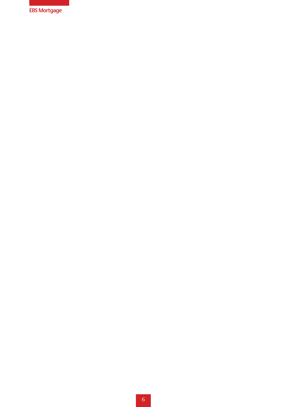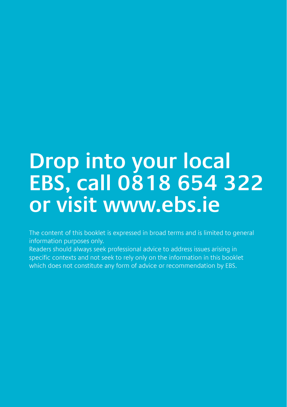## **Drop into your local EBS, call 0818 654 322 or visit www.ebs.ie**

The content of this booklet is expressed in broad terms and is limited to general information purposes only.

Readers should always seek professional advice to address issues arising in specific contexts and not seek to rely only on the information in this booklet which does not constitute any form of advice or recommendation by EBS.